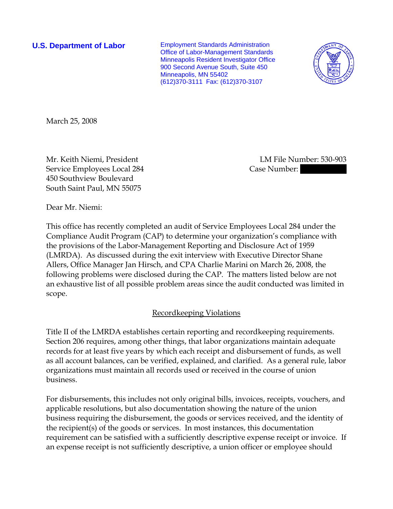**U.S. Department of Labor Employment Standards Administration** Office of Labor-Management Standards Minneapolis Resident Investigator Office 900 Second Avenue South, Suite 450 Minneapolis, MN 55402 (612)370-3111 Fax: (612)370-3107



March 25, 2008

Mr. Keith Niemi, President LM File Number: 530-903 Service Employees Local 284 Case Number: 450 Southview Boulevard South Saint Paul, MN 55075

Dear Mr. Niemi:

This office has recently completed an audit of Service Employees Local 284 under the Compliance Audit Program (CAP) to determine your organization's compliance with the provisions of the Labor-Management Reporting and Disclosure Act of 1959 (LMRDA). As discussed during the exit interview with Executive Director Shane Allers, Office Manager Jan Hirsch, and CPA Charlie Marini on March 26, 2008, the following problems were disclosed during the CAP. The matters listed below are not an exhaustive list of all possible problem areas since the audit conducted was limited in scope.

# Recordkeeping Violations

Title II of the LMRDA establishes certain reporting and recordkeeping requirements. Section 206 requires, among other things, that labor organizations maintain adequate records for at least five years by which each receipt and disbursement of funds, as well as all account balances, can be verified, explained, and clarified. As a general rule, labor organizations must maintain all records used or received in the course of union business.

For disbursements, this includes not only original bills, invoices, receipts, vouchers, and applicable resolutions, but also documentation showing the nature of the union business requiring the disbursement, the goods or services received, and the identity of the recipient(s) of the goods or services. In most instances, this documentation requirement can be satisfied with a sufficiently descriptive expense receipt or invoice. If an expense receipt is not sufficiently descriptive, a union officer or employee should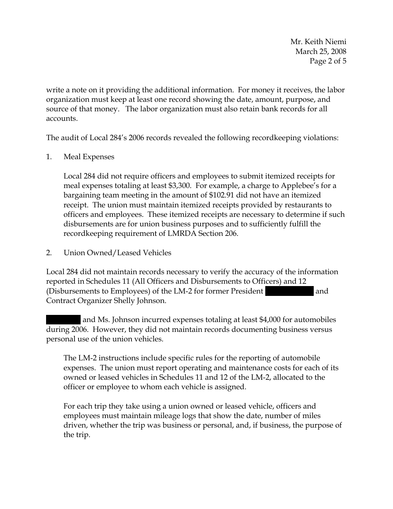Mr. Keith Niemi March 25, 2008 Page 2 of 5

write a note on it providing the additional information. For money it receives, the labor organization must keep at least one record showing the date, amount, purpose, and source of that money. The labor organization must also retain bank records for all accounts.

The audit of Local 284's 2006 records revealed the following recordkeeping violations:

#### 1. Meal Expenses

Local 284 did not require officers and employees to submit itemized receipts for meal expenses totaling at least \$3,300. For example, a charge to Applebee's for a bargaining team meeting in the amount of \$102.91 did not have an itemized receipt. The union must maintain itemized receipts provided by restaurants to officers and employees. These itemized receipts are necessary to determine if such disbursements are for union business purposes and to sufficiently fulfill the recordkeeping requirement of LMRDA Section 206.

2. Union Owned/Leased Vehicles

Local 284 did not maintain records necessary to verify the accuracy of the information reported in Schedules 11 (All Officers and Disbursements to Officers) and 12 (Disbursements to Employees) of the LM-2 for former President and Contract Organizer Shelly Johnson.

and Ms. Johnson incurred expenses totaling at least \$4,000 for automobiles during 2006. However, they did not maintain records documenting business versus personal use of the union vehicles.

The LM-2 instructions include specific rules for the reporting of automobile expenses. The union must report operating and maintenance costs for each of its owned or leased vehicles in Schedules 11 and 12 of the LM-2, allocated to the officer or employee to whom each vehicle is assigned.

For each trip they take using a union owned or leased vehicle, officers and employees must maintain mileage logs that show the date, number of miles driven, whether the trip was business or personal, and, if business, the purpose of the trip.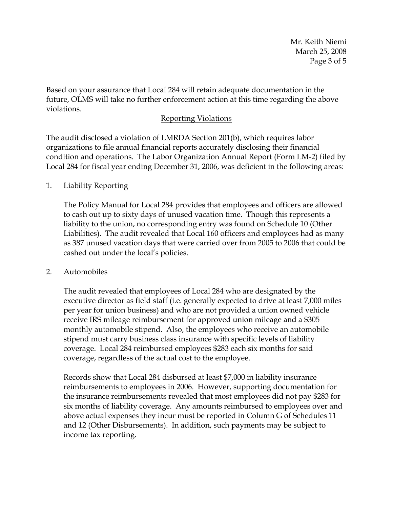Mr. Keith Niemi March 25, 2008 Page 3 of 5

Based on your assurance that Local 284 will retain adequate documentation in the future, OLMS will take no further enforcement action at this time regarding the above violations.

### Reporting Violations

The audit disclosed a violation of LMRDA Section 201(b), which requires labor organizations to file annual financial reports accurately disclosing their financial condition and operations. The Labor Organization Annual Report (Form LM-2) filed by Local 284 for fiscal year ending December 31, 2006, was deficient in the following areas:

## 1. Liability Reporting

The Policy Manual for Local 284 provides that employees and officers are allowed to cash out up to sixty days of unused vacation time. Though this represents a liability to the union, no corresponding entry was found on Schedule 10 (Other Liabilities). The audit revealed that Local 160 officers and employees had as many as 387 unused vacation days that were carried over from 2005 to 2006 that could be cashed out under the local's policies.

#### 2. Automobiles

The audit revealed that employees of Local 284 who are designated by the executive director as field staff (i.e. generally expected to drive at least 7,000 miles per year for union business) and who are not provided a union owned vehicle receive IRS mileage reimbursement for approved union mileage and a \$305 monthly automobile stipend. Also, the employees who receive an automobile stipend must carry business class insurance with specific levels of liability coverage. Local 284 reimbursed employees \$283 each six months for said coverage, regardless of the actual cost to the employee.

Records show that Local 284 disbursed at least \$7,000 in liability insurance reimbursements to employees in 2006. However, supporting documentation for the insurance reimbursements revealed that most employees did not pay \$283 for six months of liability coverage. Any amounts reimbursed to employees over and above actual expenses they incur must be reported in Column G of Schedules 11 and 12 (Other Disbursements). In addition, such payments may be subject to income tax reporting.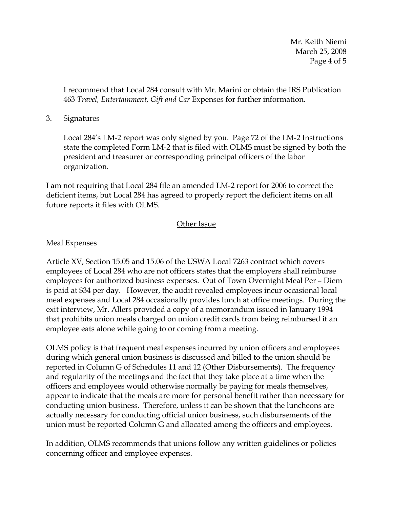Mr. Keith Niemi March 25, 2008 Page 4 of 5

I recommend that Local 284 consult with Mr. Marini or obtain the IRS Publication 463 *Travel, Entertainment, Gift and Car* Expenses for further information*.*

#### 3. Signatures

Local 284's LM-2 report was only signed by you. Page 72 of the LM-2 Instructions state the completed Form LM-2 that is filed with OLMS must be signed by both the president and treasurer or corresponding principal officers of the labor organization.

I am not requiring that Local 284 file an amended LM-2 report for 2006 to correct the deficient items, but Local 284 has agreed to properly report the deficient items on all future reports it files with OLMS.

## Other Issue

## Meal Expenses

Article XV, Section 15.05 and 15.06 of the USWA Local 7263 contract which covers employees of Local 284 who are not officers states that the employers shall reimburse employees for authorized business expenses. Out of Town Overnight Meal Per – Diem is paid at \$34 per day. However, the audit revealed employees incur occasional local meal expenses and Local 284 occasionally provides lunch at office meetings. During the exit interview, Mr. Allers provided a copy of a memorandum issued in January 1994 that prohibits union meals charged on union credit cards from being reimbursed if an employee eats alone while going to or coming from a meeting.

OLMS policy is that frequent meal expenses incurred by union officers and employees during which general union business is discussed and billed to the union should be reported in Column G of Schedules 11 and 12 (Other Disbursements). The frequency and regularity of the meetings and the fact that they take place at a time when the officers and employees would otherwise normally be paying for meals themselves, appear to indicate that the meals are more for personal benefit rather than necessary for conducting union business. Therefore, unless it can be shown that the luncheons are actually necessary for conducting official union business, such disbursements of the union must be reported Column G and allocated among the officers and employees.

In addition, OLMS recommends that unions follow any written guidelines or policies concerning officer and employee expenses.